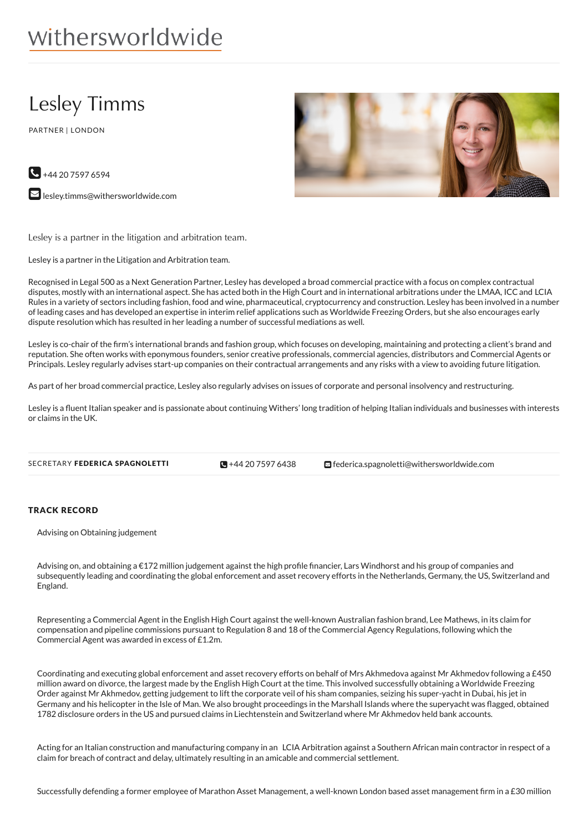# withersworldwide

# Lesley Timms

PARTNER | LONDON



**M** [lesley.timms@withersworldwide.com](mailto:lesley.timms@withersworldwide.com?subject=Website Enquiry - Profile Page)

Lesley is a partner in the litigation and arbitration team.

Lesley is a partner in the Litigation and Arbitration team.

Recognised in Legal 500 as a Next Generation Partner, Lesley has developed a broad commercial practice with a focus on complex contractual disputes, mostly with an international aspect. She has acted both in the High Court and in international arbitrations under the LMAA, ICCand LCIA Rules in a variety of sectors including fashion, food and wine, pharmaceutical, cryptocurrency and construction. Lesley has been involved in a number of leading cases and has developed an expertise in interim relief applications such as Worldwide Freezing Orders, but she also encourages early dispute resolution which has resulted in her leading a number of successful mediations as well.

Lesley is co-chair of the firm's international brands and fashion group, which focuses on developing, maintaining and protecting a client's brand and reputation. She often works with eponymous founders, senior creative professionals, commercial agencies, distributors and Commercial Agents or Principals. Lesley regularly advises start-up companies on their contractual arrangements and any risks with a view to avoiding future litigation.

As part of her broad commercial practice, Lesley also regularly advises on issues of corporate and personal insolvency and restructuring.

Lesley is a fluent Italian speaker and is passionate about continuing Withers' long tradition of helping Italian individuals and businesses with interests or claims in the UK.

 $\blacksquare$  +44 20 75 97 6438

SECRETARY FEDERICA SPAGNOLETTI **+44 20 7597 [6438](tel:+44 20 7597 6438) d**ederica.spagnoletti@withersworldwide.com

#### TRACK RECORD

Advising on Obtaining judgement

Advising on, and obtaining a €172 million judgement against the high profile financier, Lars Windhorst and his group of companies and subsequently leading and coordinating the global enforcement and asset recovery efforts in the Netherlands, Germany, the US, Switzerland and England.

Representing a Commercial Agent in the English High Court against the well-known Australian fashion brand, Lee Mathews, in its claim for compensation and pipeline commissions pursuant to Regulation 8 and 18 of the Commercial Agency Regulations, following which the Commercial Agent was awarded in excess of £1.2m.

Coordinating and executing global enforcement and asset recovery efforts on behalf of Mrs Akhmedova against Mr Akhmedov following a £450 million award on divorce, the largest made by the English High Court at the time. This involved successfully obtaining a Worldwide Freezing Order against Mr Akhmedov, getting judgement to lift the corporate veil of his sham companies, seizing his super-yacht in Dubai, his jet in Germany and his helicopter in the Isle of Man. We also brought proceedings in the Marshall Islands where the superyacht was flagged, obtained 1782 disclosure orders in the US and pursued claims in Liechtenstein and Switzerland where Mr Akhmedov held bank accounts.

Acting for an Italian construction and manufacturing company in an LCIA Arbitration against a Southern African main contractor in respect of a claim for breach of contract and delay, ultimately resulting in an amicable and commercial settlement.

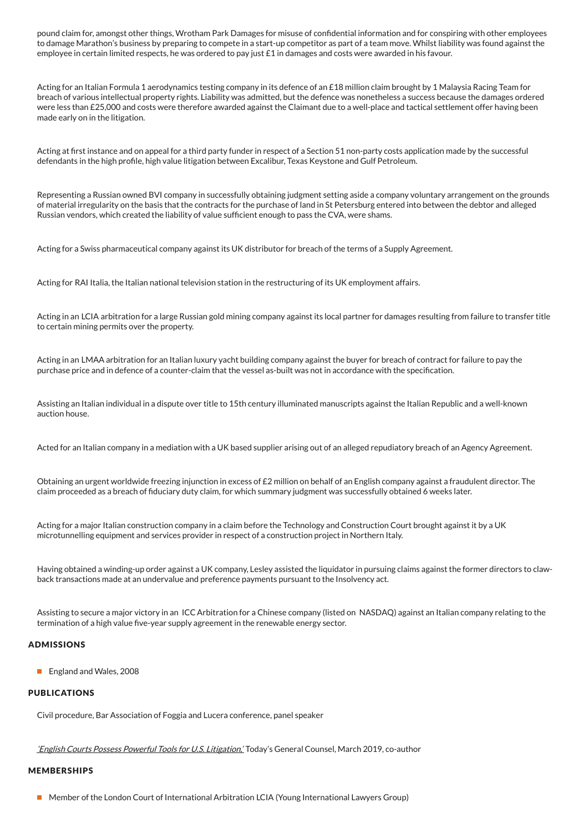pound claim for, amongst other things, Wrotham Park Damages for misuse of confidential information and for conspiring with other employees to damage Marathon's business by preparing to compete in a start-up competitor as part of a team move. Whilst liability was found against the employee in certain limited respects, he was ordered to pay just £1 in damages and costs were awarded in his favour.

Acting for an Italian Formula 1 aerodynamics testing company in its defence of an £18 million claim brought by 1 Malaysia Racing Team for breach of various intellectual property rights. Liability was admitted, but the defence was nonetheless a success because the damages ordered were less than £25,000 and costs were therefore awarded against the Claimant due to a well-place and tactical settlement offer having been made early on in the litigation.

Acting at first instance and on appeal for a third party funder in respect of a Section 51 non-party costs application made by the successful defendants in the high profile, high value litigation between Excalibur, Texas Keystone and Gulf Petroleum.

Representing a Russian owned BVI company in successfully obtaining judgment setting aside a company voluntary arrangement on the grounds of material irregularity on the basis that the contracts for the purchase of land in St Petersburg entered into between the debtor and alleged Russian vendors, which created the liability of value sufficient enough to pass the CVA, were shams.

Acting for a Swiss pharmaceutical company against its UK distributor for breach of the terms of a Supply Agreement.

Acting for RAI Italia, the Italian national television station in the restructuring of its UK employment affairs.

Acting in an LCIA arbitration for a large Russian gold mining company against its local partner for damages resulting from failure to transfer title to certain mining permits over the property.

Acting in an LMAA arbitration for an Italian luxury yacht building company against the buyer for breach of contract for failure to pay the purchase price and in defence of a counter-claim that the vessel as-built was not in accordance with the specification.

Assisting an Italian individual in a dispute over title to 15th century illuminated manuscripts against the Italian Republic and a well-known auction house.

Acted for an Italian company in a mediation with a UK based supplier arising out of an alleged repudiatory breach of an Agency Agreement.

Obtaining an urgent worldwide freezing injunction in excess of £2 million on behalf of an English company against a fraudulent director. The claim proceeded as a breach of fiduciary duty claim, for which summary judgment was successfully obtained 6 weeks later.

Acting for a major Italian construction company in a claim before the Technology and Construction Court brought against it by a UK microtunnelling equipment and services provider in respect of a construction project in Northern Italy.

Having obtained a winding-up order against a UK company, Lesley assisted the liquidator in pursuing claims against the former directors to clawback transactions made at an undervalue and preference payments pursuant to the Insolvency act.

Assisting to secure a major victory in an ICCArbitration for a Chinese company (listed on NASDAQ) against an Italian company relating to the termination of a high value five-year supply agreement in the renewable energy sector.

#### ADMISSIONS

**England and Wales, 2008** 

#### PUBLICATIONS

Civil procedure, Bar Association of Foggia and Lucera conference, panel speaker

'English Courts Possess Powerful Tools for U.S. [Litigation,'](https://issuu.com/todaysgc/docs/tgc_spr19_issuu/62) Today's General Counsel, March 2019, co-author

#### **MEMBERSHIPS**

■ Member of the London Court of International Arbitration LCIA (Young International Lawyers Group)